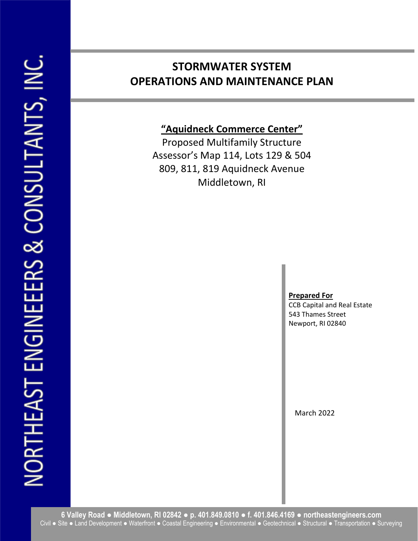# STORMWATER SYSTEM OPERATIONS AND MAINTENANCE PLAN

"Aquidneck Commerce Center"

Proposed Multifamily Structure Assessor's Map 114, Lots 129 & 504 809, 811, 819 Aquidneck Avenue Middletown, RI

## Prepared For

CCB Capital and Real Estate 543 Thames Street Newport, RI 02840

March 2022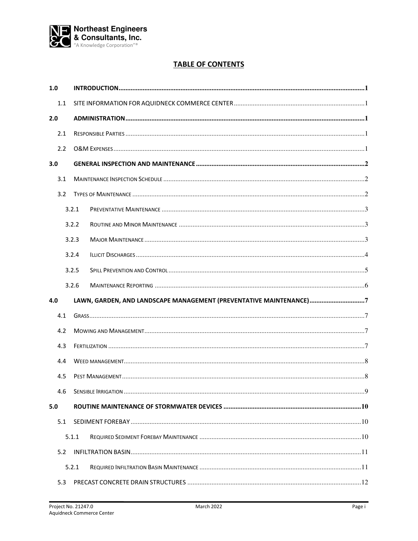

# **TABLE OF CONTENTS**

| 1.0 |       |                                                                    |  |  |  |
|-----|-------|--------------------------------------------------------------------|--|--|--|
|     | 1.1   |                                                                    |  |  |  |
| 2.0 |       |                                                                    |  |  |  |
|     | 2.1   |                                                                    |  |  |  |
|     | 2.2   |                                                                    |  |  |  |
| 3.0 |       |                                                                    |  |  |  |
|     | 3.1   |                                                                    |  |  |  |
|     | 3.2   |                                                                    |  |  |  |
|     | 3.2.1 |                                                                    |  |  |  |
|     |       | 3.2.2                                                              |  |  |  |
|     | 3.2.3 |                                                                    |  |  |  |
|     |       | 3.2.4                                                              |  |  |  |
|     | 3.2.5 |                                                                    |  |  |  |
|     |       | 3.2.6                                                              |  |  |  |
| 4.0 |       | LAWN, GARDEN, AND LANDSCAPE MANAGEMENT (PREVENTATIVE MAINTENANCE)7 |  |  |  |
| 4.1 |       |                                                                    |  |  |  |
|     |       |                                                                    |  |  |  |
|     | 4.2   |                                                                    |  |  |  |
|     | 4.3   |                                                                    |  |  |  |
|     | 4.4   |                                                                    |  |  |  |
|     | 4.5   |                                                                    |  |  |  |
| 4.6 |       |                                                                    |  |  |  |
| 5.0 |       |                                                                    |  |  |  |
|     | 5.1   |                                                                    |  |  |  |
|     |       | 5.1.1                                                              |  |  |  |
|     | 5.2   |                                                                    |  |  |  |
|     | 5.2.1 |                                                                    |  |  |  |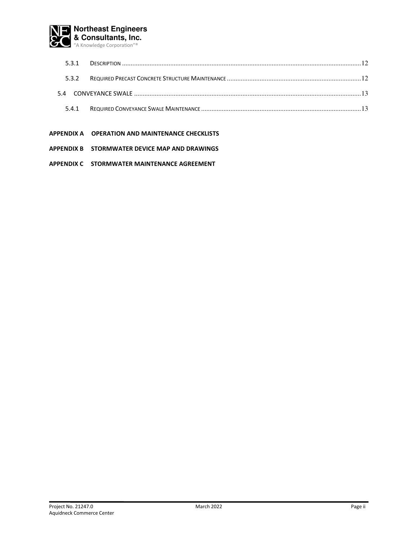

| 531 |  |
|-----|--|
| 532 |  |
|     |  |
| 541 |  |

- APPENDIX A OPERATION AND MAINTENANCE CHECKLISTS
- APPENDIX B STORMWATER DEVICE MAP AND DRAWINGS
- APPENDIX C STORMWATER MAINTENANCE AGREEMENT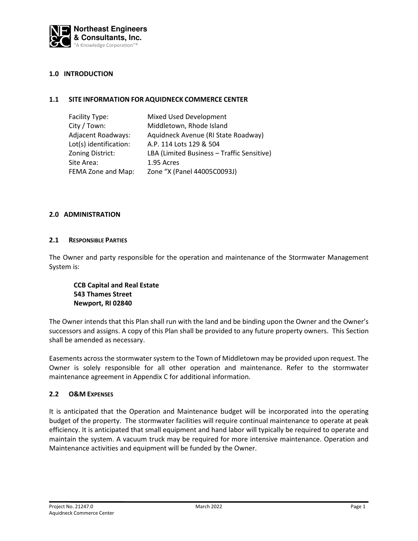

### 1.0 INTRODUCTION

#### 1.1 SITE INFORMATION FOR AQUIDNECK COMMERCE CENTER

| Facility Type:            | Mixed Used Development                     |
|---------------------------|--------------------------------------------|
| City / Town:              | Middletown, Rhode Island                   |
| <b>Adjacent Roadways:</b> | Aquidneck Avenue (RI State Roadway)        |
| Lot(s) identification:    | A.P. 114 Lots 129 & 504                    |
| Zoning District:          | LBA (Limited Business - Traffic Sensitive) |
| Site Area:                | 1.95 Acres                                 |
| FEMA Zone and Map:        | Zone "X (Panel 44005C0093J)                |

#### 2.0 ADMINISTRATION

#### 2.1 RESPONSIBLE PARTIES

The Owner and party responsible for the operation and maintenance of the Stormwater Management System is:

CCB Capital and Real Estate 543 Thames Street Newport, RI 02840

The Owner intends that this Plan shall run with the land and be binding upon the Owner and the Owner's successors and assigns. A copy of this Plan shall be provided to any future property owners. This Section shall be amended as necessary.

Easements across the stormwater system to the Town of Middletown may be provided upon request. The Owner is solely responsible for all other operation and maintenance. Refer to the stormwater maintenance agreement in Appendix C for additional information.

#### 2.2 O&M EXPENSES

It is anticipated that the Operation and Maintenance budget will be incorporated into the operating budget of the property. The stormwater facilities will require continual maintenance to operate at peak efficiency. It is anticipated that small equipment and hand labor will typically be required to operate and maintain the system. A vacuum truck may be required for more intensive maintenance. Operation and Maintenance activities and equipment will be funded by the Owner.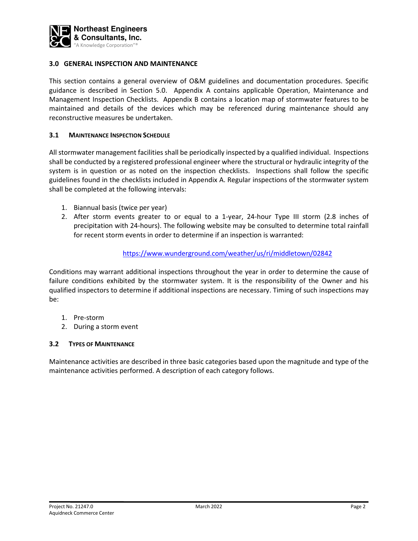

### 3.0 GENERAL INSPECTION AND MAINTENANCE

This section contains a general overview of O&M guidelines and documentation procedures. Specific guidance is described in Section 5.0. Appendix A contains applicable Operation, Maintenance and Management Inspection Checklists. Appendix B contains a location map of stormwater features to be maintained and details of the devices which may be referenced during maintenance should any reconstructive measures be undertaken.

#### 3.1 MAINTENANCE INSPECTION SCHEDULE

All stormwater management facilities shall be periodically inspected by a qualified individual. Inspections shall be conducted by a registered professional engineer where the structural or hydraulic integrity of the system is in question or as noted on the inspection checklists. Inspections shall follow the specific guidelines found in the checklists included in Appendix A. Regular inspections of the stormwater system shall be completed at the following intervals:

- 1. Biannual basis (twice per year)
- 2. After storm events greater to or equal to a 1-year, 24-hour Type III storm (2.8 inches of precipitation with 24-hours). The following website may be consulted to determine total rainfall for recent storm events in order to determine if an inspection is warranted:

#### https://www.wunderground.com/weather/us/ri/middletown/02842

Conditions may warrant additional inspections throughout the year in order to determine the cause of failure conditions exhibited by the stormwater system. It is the responsibility of the Owner and his qualified inspectors to determine if additional inspections are necessary. Timing of such inspections may be:

- 1. Pre-storm
- 2. During a storm event

### 3.2 TYPES OF MAINTENANCE

Maintenance activities are described in three basic categories based upon the magnitude and type of the maintenance activities performed. A description of each category follows.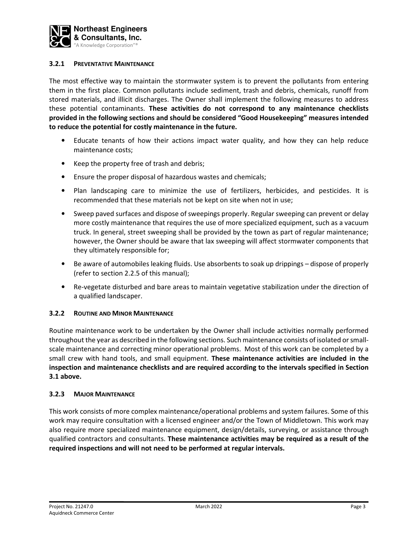

### 3.2.1 PREVENTATIVE MAINTENANCE

The most effective way to maintain the stormwater system is to prevent the pollutants from entering them in the first place. Common pollutants include sediment, trash and debris, chemicals, runoff from stored materials, and illicit discharges. The Owner shall implement the following measures to address these potential contaminants. These activities do not correspond to any maintenance checklists provided in the following sections and should be considered "Good Housekeeping" measures intended to reduce the potential for costly maintenance in the future.

- Educate tenants of how their actions impact water quality, and how they can help reduce maintenance costs;
- Keep the property free of trash and debris;
- Ensure the proper disposal of hazardous wastes and chemicals;
- Plan landscaping care to minimize the use of fertilizers, herbicides, and pesticides. It is recommended that these materials not be kept on site when not in use;
- Sweep paved surfaces and dispose of sweepings properly. Regular sweeping can prevent or delay more costly maintenance that requires the use of more specialized equipment, such as a vacuum truck. In general, street sweeping shall be provided by the town as part of regular maintenance; however, the Owner should be aware that lax sweeping will affect stormwater components that they ultimately responsible for;
- Be aware of automobiles leaking fluids. Use absorbents to soak up drippings dispose of properly (refer to section 2.2.5 of this manual);
- Re-vegetate disturbed and bare areas to maintain vegetative stabilization under the direction of a qualified landscaper.

### 3.2.2 ROUTINE AND MINOR MAINTENANCE

Routine maintenance work to be undertaken by the Owner shall include activities normally performed throughout the year as described in the following sections. Such maintenance consists of isolated or smallscale maintenance and correcting minor operational problems. Most of this work can be completed by a small crew with hand tools, and small equipment. These maintenance activities are included in the inspection and maintenance checklists and are required according to the intervals specified in Section 3.1 above.

#### 3.2.3 MAJOR MAINTENANCE

This work consists of more complex maintenance/operational problems and system failures. Some of this work may require consultation with a licensed engineer and/or the Town of Middletown. This work may also require more specialized maintenance equipment, design/details, surveying, or assistance through qualified contractors and consultants. These maintenance activities may be required as a result of the required inspections and will not need to be performed at regular intervals.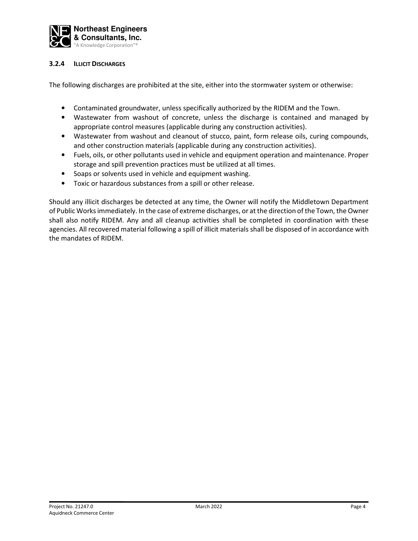

### 3.2.4 ILLICIT DISCHARGES

The following discharges are prohibited at the site, either into the stormwater system or otherwise:

- Contaminated groundwater, unless specifically authorized by the RIDEM and the Town.
- Wastewater from washout of concrete, unless the discharge is contained and managed by appropriate control measures (applicable during any construction activities).
- Wastewater from washout and cleanout of stucco, paint, form release oils, curing compounds, and other construction materials (applicable during any construction activities).
- Fuels, oils, or other pollutants used in vehicle and equipment operation and maintenance. Proper storage and spill prevention practices must be utilized at all times.
- Soaps or solvents used in vehicle and equipment washing.
- Toxic or hazardous substances from a spill or other release.

Should any illicit discharges be detected at any time, the Owner will notify the Middletown Department of Public Works immediately. In the case of extreme discharges, or at the direction of the Town, the Owner shall also notify RIDEM. Any and all cleanup activities shall be completed in coordination with these agencies. All recovered material following a spill of illicit materials shall be disposed of in accordance with the mandates of RIDEM.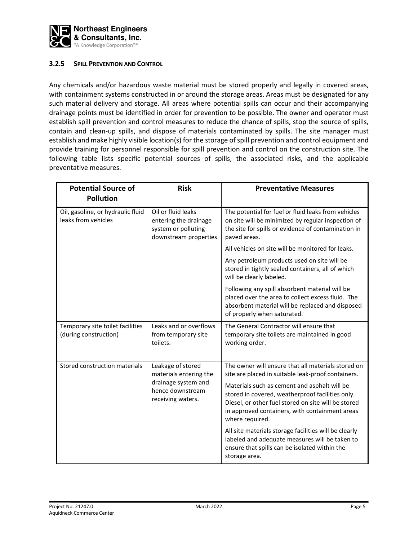

### 3.2.5 SPILL PREVENTION AND CONTROL

Any chemicals and/or hazardous waste material must be stored properly and legally in covered areas, with containment systems constructed in or around the storage areas. Areas must be designated for any such material delivery and storage. All areas where potential spills can occur and their accompanying drainage points must be identified in order for prevention to be possible. The owner and operator must establish spill prevention and control measures to reduce the chance of spills, stop the source of spills, contain and clean-up spills, and dispose of materials contaminated by spills. The site manager must establish and make highly visible location(s) for the storage of spill prevention and control equipment and provide training for personnel responsible for spill prevention and control on the construction site. The following table lists specific potential sources of spills, the associated risks, and the applicable preventative measures.

| <b>Potential Source of</b><br><b>Pollution</b>                                                                                                                  | <b>Risk</b>                                                                                 | <b>Preventative Measures</b>                                                                                                                                                                                                                                                                                          |
|-----------------------------------------------------------------------------------------------------------------------------------------------------------------|---------------------------------------------------------------------------------------------|-----------------------------------------------------------------------------------------------------------------------------------------------------------------------------------------------------------------------------------------------------------------------------------------------------------------------|
| Oil, gasoline, or hydraulic fluid<br>leaks from vehicles                                                                                                        | Oil or fluid leaks<br>entering the drainage<br>system or polluting<br>downstream properties | The potential for fuel or fluid leaks from vehicles<br>on site will be minimized by regular inspection of<br>the site for spills or evidence of contamination in<br>paved areas.                                                                                                                                      |
|                                                                                                                                                                 |                                                                                             | All vehicles on site will be monitored for leaks.                                                                                                                                                                                                                                                                     |
|                                                                                                                                                                 |                                                                                             | Any petroleum products used on site will be<br>stored in tightly sealed containers, all of which<br>will be clearly labeled.                                                                                                                                                                                          |
|                                                                                                                                                                 |                                                                                             | Following any spill absorbent material will be<br>placed over the area to collect excess fluid. The<br>absorbent material will be replaced and disposed<br>of properly when saturated.                                                                                                                                |
| Temporary site toilet facilities<br>(during construction)                                                                                                       | Leaks and or overflows<br>from temporary site<br>toilets.                                   | The General Contractor will ensure that<br>temporary site toilets are maintained in good<br>working order.                                                                                                                                                                                                            |
| Stored construction materials<br>Leakage of stored<br>materials entering the<br>drainage system and<br>hence downstream<br>receiving waters.<br>where required. |                                                                                             | The owner will ensure that all materials stored on<br>site are placed in suitable leak-proof containers.<br>Materials such as cement and asphalt will be<br>stored in covered, weatherproof facilities only.<br>Diesel, or other fuel stored on site will be stored<br>in approved containers, with containment areas |
|                                                                                                                                                                 |                                                                                             | All site materials storage facilities will be clearly<br>labeled and adequate measures will be taken to<br>ensure that spills can be isolated within the<br>storage area.                                                                                                                                             |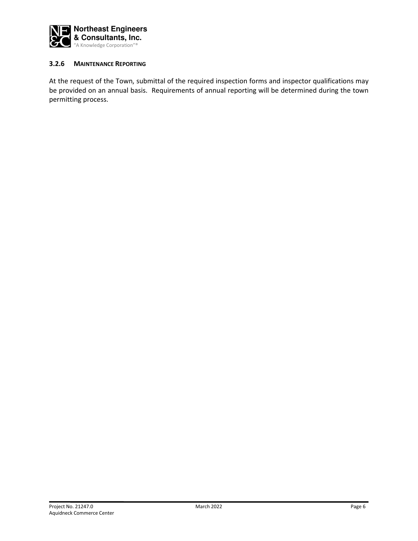

### 3.2.6 MAINTENANCE REPORTING

At the request of the Town, submittal of the required inspection forms and inspector qualifications may be provided on an annual basis. Requirements of annual reporting will be determined during the town permitting process.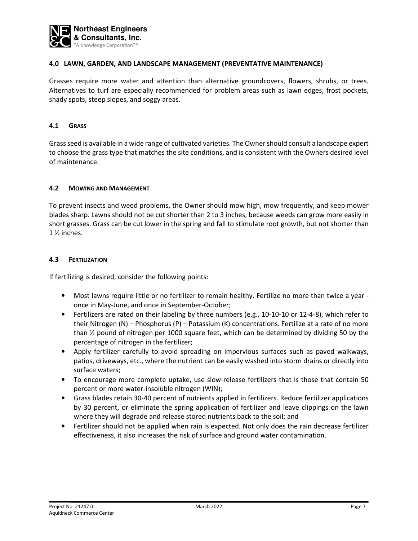

### 4.0 LAWN, GARDEN, AND LANDSCAPE MANAGEMENT (PREVENTATIVE MAINTENANCE)

Grasses require more water and attention than alternative groundcovers, flowers, shrubs, or trees. Alternatives to turf are especially recommended for problem areas such as lawn edges, frost pockets, shady spots, steep slopes, and soggy areas.

#### 4.1 GRASS

Grass seed is available in a wide range of cultivated varieties. The Owner should consult a landscape expert to choose the grass type that matches the site conditions, and is consistent with the Owners desired level of maintenance.

#### 4.2 MOWING AND MANAGEMENT

To prevent insects and weed problems, the Owner should mow high, mow frequently, and keep mower blades sharp. Lawns should not be cut shorter than 2 to 3 inches, because weeds can grow more easily in short grasses. Grass can be cut lower in the spring and fall to stimulate root growth, but not shorter than 1 ½ inches.

#### 4.3 FERTILIZATION

If fertilizing is desired, consider the following points:

- Most lawns require little or no fertilizer to remain healthy. Fertilize no more than twice a year once in May-June, and once in September-October;
- Fertilizers are rated on their labeling by three numbers (e.g., 10-10-10 or 12-4-8), which refer to their Nitrogen (N) – Phosphorus (P) – Potassium (K) concentrations. Fertilize at a rate of no more than ½ pound of nitrogen per 1000 square feet, which can be determined by dividing 50 by the percentage of nitrogen in the fertilizer;
- Apply fertilizer carefully to avoid spreading on impervious surfaces such as paved walkways, patios, driveways, etc., where the nutrient can be easily washed into storm drains or directly into surface waters;
- To encourage more complete uptake, use slow-release fertilizers that is those that contain 50 percent or more water-insoluble nitrogen (WIN);
- Grass blades retain 30-40 percent of nutrients applied in fertilizers. Reduce fertilizer applications by 30 percent, or eliminate the spring application of fertilizer and leave clippings on the lawn where they will degrade and release stored nutrients back to the soil; and
- Fertilizer should not be applied when rain is expected. Not only does the rain decrease fertilizer effectiveness, it also increases the risk of surface and ground water contamination.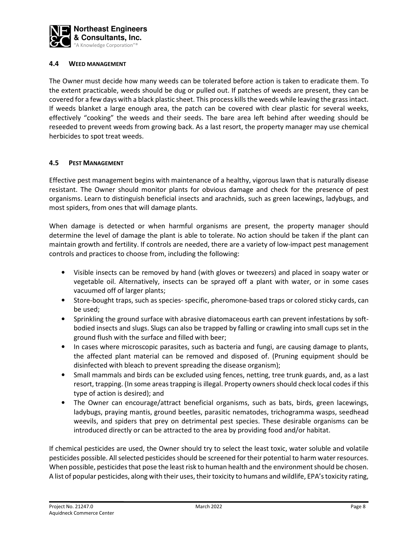

#### 4.4 WEED MANAGEMENT

The Owner must decide how many weeds can be tolerated before action is taken to eradicate them. To the extent practicable, weeds should be dug or pulled out. If patches of weeds are present, they can be covered for a few days with a black plastic sheet. This process kills the weeds while leaving the grass intact. If weeds blanket a large enough area, the patch can be covered with clear plastic for several weeks, effectively "cooking" the weeds and their seeds. The bare area left behind after weeding should be reseeded to prevent weeds from growing back. As a last resort, the property manager may use chemical herbicides to spot treat weeds.

#### 4.5 PEST MANAGEMENT

Effective pest management begins with maintenance of a healthy, vigorous lawn that is naturally disease resistant. The Owner should monitor plants for obvious damage and check for the presence of pest organisms. Learn to distinguish beneficial insects and arachnids, such as green lacewings, ladybugs, and most spiders, from ones that will damage plants.

When damage is detected or when harmful organisms are present, the property manager should determine the level of damage the plant is able to tolerate. No action should be taken if the plant can maintain growth and fertility. If controls are needed, there are a variety of low-impact pest management controls and practices to choose from, including the following:

- Visible insects can be removed by hand (with gloves or tweezers) and placed in soapy water or vegetable oil. Alternatively, insects can be sprayed off a plant with water, or in some cases vacuumed off of larger plants;
- Store-bought traps, such as species- specific, pheromone-based traps or colored sticky cards, can be used;
- Sprinkling the ground surface with abrasive diatomaceous earth can prevent infestations by softbodied insects and slugs. Slugs can also be trapped by falling or crawling into small cups set in the ground flush with the surface and filled with beer;
- In cases where microscopic parasites, such as bacteria and fungi, are causing damage to plants, the affected plant material can be removed and disposed of. (Pruning equipment should be disinfected with bleach to prevent spreading the disease organism);
- Small mammals and birds can be excluded using fences, netting, tree trunk guards, and, as a last resort, trapping. (In some areas trapping is illegal. Property owners should check local codes if this type of action is desired); and
- The Owner can encourage/attract beneficial organisms, such as bats, birds, green lacewings, ladybugs, praying mantis, ground beetles, parasitic nematodes, trichogramma wasps, seedhead weevils, and spiders that prey on detrimental pest species. These desirable organisms can be introduced directly or can be attracted to the area by providing food and/or habitat.

If chemical pesticides are used, the Owner should try to select the least toxic, water soluble and volatile pesticides possible. All selected pesticides should be screened for their potential to harm water resources. When possible, pesticides that pose the least risk to human health and the environment should be chosen. A list of popular pesticides, along with their uses, their toxicity to humans and wildlife, EPA's toxicity rating,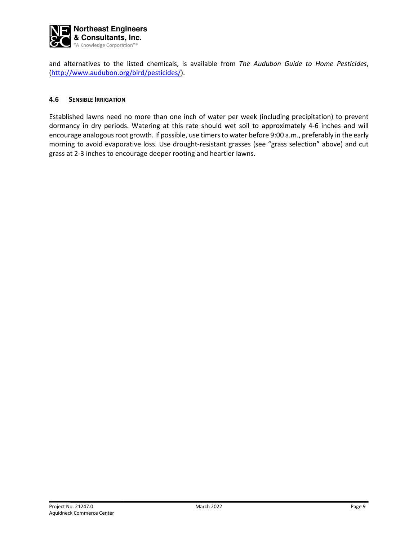

and alternatives to the listed chemicals, is available from The Audubon Guide to Home Pesticides, (http://www.audubon.org/bird/pesticides/).

#### 4.6 SENSIBLE IRRIGATION

Established lawns need no more than one inch of water per week (including precipitation) to prevent dormancy in dry periods. Watering at this rate should wet soil to approximately 4-6 inches and will encourage analogous root growth. If possible, use timers to water before 9:00 a.m., preferably in the early morning to avoid evaporative loss. Use drought-resistant grasses (see "grass selection" above) and cut grass at 2-3 inches to encourage deeper rooting and heartier lawns.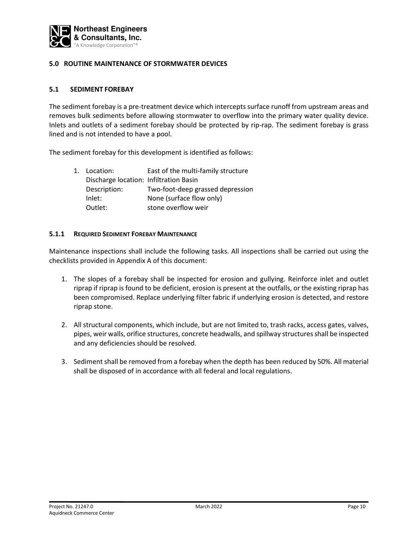

### 5.0 ROUTINE MAINTENANCE OF STORMWATER DEVICES

### 5.1 SEDIMENT FOREBAY

The sediment forebay is a pre-treatment device which intercepts surface runoff from upstream areas and removes bulk sediments before allowing stormwater to overflow into the primary water quality device. Inlets and outlets of a sediment forebay should be protected by rip-rap. The sediment forebay is grass lined and is not intended to have a pool.

The sediment forebay for this development is identified as follows:

| 1. Location:                           | East of the multi-family structure |
|----------------------------------------|------------------------------------|
| Discharge location: Infiltration Basin |                                    |
| Description:                           | Two-foot-deep grassed depression   |
| Inlet:                                 | None (surface flow only)           |
| Outlet:                                | stone overflow weir                |

#### 5.1.1 REQUIRED SEDIMENT FOREBAY MAINTENANCE

- 1. The slopes of a forebay shall be inspected for erosion and gullying. Reinforce inlet and outlet riprap if riprap is found to be deficient, erosion is present at the outfalls, or the existing riprap has been compromised. Replace underlying filter fabric if underlying erosion is detected, and restore riprap stone.
- 2. All structural components, which include, but are not limited to, trash racks, access gates, valves, pipes, weir walls, orifice structures, concrete headwalls, and spillway structures shall be inspected and any deficiencies should be resolved.
- 3. Sediment shall be removed from a forebay when the depth has been reduced by 50%. All material shall be disposed of in accordance with all federal and local regulations.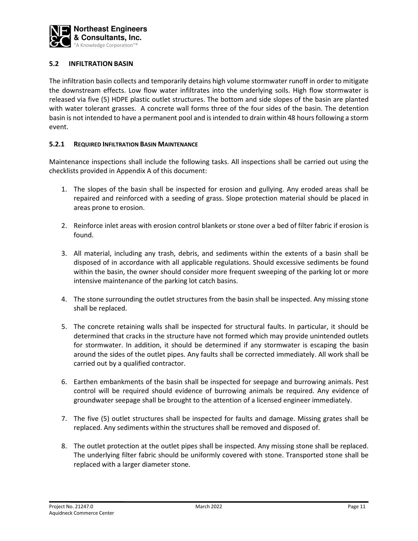

### 5.2 INFILTRATION BASIN

The infiltration basin collects and temporarily detains high volume stormwater runoff in order to mitigate the downstream effects. Low flow water infiltrates into the underlying soils. High flow stormwater is released via five (5) HDPE plastic outlet structures. The bottom and side slopes of the basin are planted with water tolerant grasses. A concrete wall forms three of the four sides of the basin. The detention basin is not intended to have a permanent pool and is intended to drain within 48 hours following a storm event.

### 5.2.1 REQUIRED INFILTRATION BASIN MAINTENANCE

- 1. The slopes of the basin shall be inspected for erosion and gullying. Any eroded areas shall be repaired and reinforced with a seeding of grass. Slope protection material should be placed in areas prone to erosion.
- 2. Reinforce inlet areas with erosion control blankets or stone over a bed of filter fabric if erosion is found.
- 3. All material, including any trash, debris, and sediments within the extents of a basin shall be disposed of in accordance with all applicable regulations. Should excessive sediments be found within the basin, the owner should consider more frequent sweeping of the parking lot or more intensive maintenance of the parking lot catch basins.
- 4. The stone surrounding the outlet structures from the basin shall be inspected. Any missing stone shall be replaced.
- 5. The concrete retaining walls shall be inspected for structural faults. In particular, it should be determined that cracks in the structure have not formed which may provide unintended outlets for stormwater. In addition, it should be determined if any stormwater is escaping the basin around the sides of the outlet pipes. Any faults shall be corrected immediately. All work shall be carried out by a qualified contractor.
- 6. Earthen embankments of the basin shall be inspected for seepage and burrowing animals. Pest control will be required should evidence of burrowing animals be required. Any evidence of groundwater seepage shall be brought to the attention of a licensed engineer immediately.
- 7. The five (5) outlet structures shall be inspected for faults and damage. Missing grates shall be replaced. Any sediments within the structures shall be removed and disposed of.
- 8. The outlet protection at the outlet pipes shall be inspected. Any missing stone shall be replaced. The underlying filter fabric should be uniformly covered with stone. Transported stone shall be replaced with a larger diameter stone.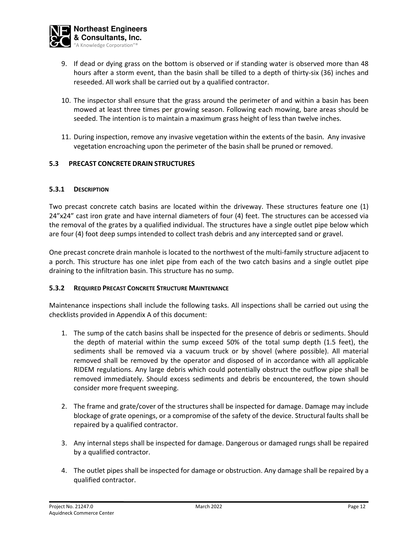

- 9. If dead or dying grass on the bottom is observed or if standing water is observed more than 48 hours after a storm event, than the basin shall be tilled to a depth of thirty-six (36) inches and reseeded. All work shall be carried out by a qualified contractor.
- 10. The inspector shall ensure that the grass around the perimeter of and within a basin has been mowed at least three times per growing season. Following each mowing, bare areas should be seeded. The intention is to maintain a maximum grass height of less than twelve inches.
- 11. During inspection, remove any invasive vegetation within the extents of the basin. Any invasive vegetation encroaching upon the perimeter of the basin shall be pruned or removed.

### 5.3 PRECAST CONCRETE DRAIN STRUCTURES

### 5.3.1 DESCRIPTION

Two precast concrete catch basins are located within the driveway. These structures feature one (1) 24"x24" cast iron grate and have internal diameters of four (4) feet. The structures can be accessed via the removal of the grates by a qualified individual. The structures have a single outlet pipe below which are four (4) foot deep sumps intended to collect trash debris and any intercepted sand or gravel.

One precast concrete drain manhole is located to the northwest of the multi-family structure adjacent to a porch. This structure has one inlet pipe from each of the two catch basins and a single outlet pipe draining to the infiltration basin. This structure has no sump.

### 5.3.2 REQUIRED PRECAST CONCRETE STRUCTURE MAINTENANCE

- 1. The sump of the catch basins shall be inspected for the presence of debris or sediments. Should the depth of material within the sump exceed 50% of the total sump depth (1.5 feet), the sediments shall be removed via a vacuum truck or by shovel (where possible). All material removed shall be removed by the operator and disposed of in accordance with all applicable RIDEM regulations. Any large debris which could potentially obstruct the outflow pipe shall be removed immediately. Should excess sediments and debris be encountered, the town should consider more frequent sweeping.
- 2. The frame and grate/cover of the structures shall be inspected for damage. Damage may include blockage of grate openings, or a compromise of the safety of the device. Structural faults shall be repaired by a qualified contractor.
- 3. Any internal steps shall be inspected for damage. Dangerous or damaged rungs shall be repaired by a qualified contractor.
- 4. The outlet pipes shall be inspected for damage or obstruction. Any damage shall be repaired by a qualified contractor.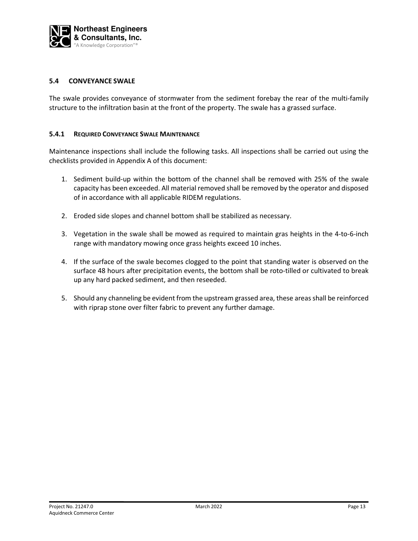

### 5.4 CONVEYANCE SWALE

The swale provides conveyance of stormwater from the sediment forebay the rear of the multi-family structure to the infiltration basin at the front of the property. The swale has a grassed surface.

#### 5.4.1 REQUIRED CONVEYANCE SWALE MAINTENANCE

- 1. Sediment build-up within the bottom of the channel shall be removed with 25% of the swale capacity has been exceeded. All material removed shall be removed by the operator and disposed of in accordance with all applicable RIDEM regulations.
- 2. Eroded side slopes and channel bottom shall be stabilized as necessary.
- 3. Vegetation in the swale shall be mowed as required to maintain gras heights in the 4-to-6-inch range with mandatory mowing once grass heights exceed 10 inches.
- 4. If the surface of the swale becomes clogged to the point that standing water is observed on the surface 48 hours after precipitation events, the bottom shall be roto-tilled or cultivated to break up any hard packed sediment, and then reseeded.
- 5. Should any channeling be evident from the upstream grassed area, these areas shall be reinforced with riprap stone over filter fabric to prevent any further damage.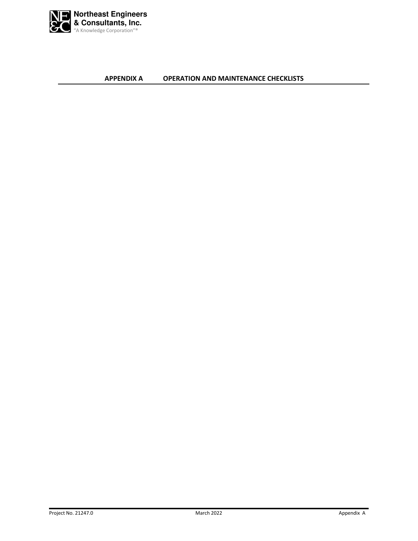

APPENDIX A OPERATION AND MAINTENANCE CHECKLISTS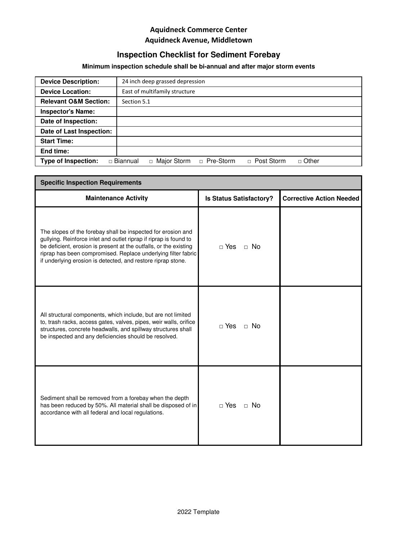# **Inspection Checklist for Sediment Forebay**

# **Minimum inspection schedule shall be bi-annual and after major storm events**

| <b>Device Description:</b>       | 24 inch deep grassed depression                                                    |
|----------------------------------|------------------------------------------------------------------------------------|
| <b>Device Location:</b>          | East of multifamily structure                                                      |
| <b>Relevant O&amp;M Section:</b> | Section 5.1                                                                        |
| <b>Inspector's Name:</b>         |                                                                                    |
| Date of Inspection:              |                                                                                    |
| Date of Last Inspection:         |                                                                                    |
| <b>Start Time:</b>               |                                                                                    |
| End time:                        |                                                                                    |
| <b>Type of Inspection:</b>       | Major Storm<br>□ Pre-Storm<br>□ Post Storm<br>$\Box$ Other<br>□ Biannual<br>$\Box$ |

| <b>Specific Inspection Requirements</b>                                                                                                                                                                                                                                                                                                 |                                |                                 |  |
|-----------------------------------------------------------------------------------------------------------------------------------------------------------------------------------------------------------------------------------------------------------------------------------------------------------------------------------------|--------------------------------|---------------------------------|--|
| <b>Maintenance Activity</b>                                                                                                                                                                                                                                                                                                             | <b>Is Status Satisfactory?</b> | <b>Corrective Action Needed</b> |  |
| The slopes of the forebay shall be inspected for erosion and<br>gullying. Reinforce inlet and outlet riprap if riprap is found to<br>be deficient, erosion is present at the outfalls, or the existing<br>riprap has been compromised. Replace underlying filter fabric<br>if underlying erosion is detected, and restore riprap stone. | $\Box$ Yes<br>$\Box$ No        |                                 |  |
| All structural components, which include, but are not limited<br>to, trash racks, access gates, valves, pipes, weir walls, orifice<br>structures, concrete headwalls, and spillway structures shall<br>be inspected and any deficiencies should be resolved.                                                                            | $\sqcap$ Yes<br>$\Box$ No      |                                 |  |
| Sediment shall be removed from a forebay when the depth<br>has been reduced by 50%. All material shall be disposed of in<br>accordance with all federal and local regulations.                                                                                                                                                          | $\sqcap$ Yes<br>$\Box$ No      |                                 |  |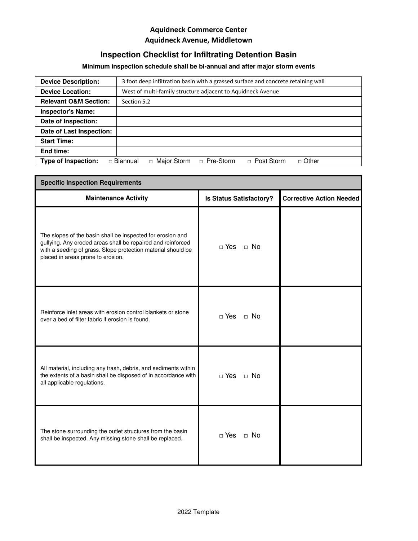# **Inspection Checklist for Infiltrating Detention Basin**

# **Minimum inspection schedule shall be bi-annual and after major storm events**

| 3 foot deep infiltration basin with a grassed surface and concrete retaining wall<br><b>Device Description:</b> |                                                                                           |  |  |  |
|-----------------------------------------------------------------------------------------------------------------|-------------------------------------------------------------------------------------------|--|--|--|
| <b>Device Location:</b>                                                                                         | West of multi-family structure adjacent to Aquidneck Avenue                               |  |  |  |
| <b>Relevant O&amp;M Section:</b>                                                                                | Section 5.2                                                                               |  |  |  |
| <b>Inspector's Name:</b>                                                                                        |                                                                                           |  |  |  |
| Date of Inspection:                                                                                             |                                                                                           |  |  |  |
| Date of Last Inspection:                                                                                        |                                                                                           |  |  |  |
| <b>Start Time:</b>                                                                                              |                                                                                           |  |  |  |
| End time:                                                                                                       |                                                                                           |  |  |  |
| <b>Type of Inspection:</b>                                                                                      | □ Pre-Storm<br>Major Storm<br>$\Box$ Post Storm<br>$\sqcap$ Other<br>□ Biannual<br>$\Box$ |  |  |  |

| <b>Specific Inspection Requirements</b>                                                                                                                                                                                        |                                |                                 |  |
|--------------------------------------------------------------------------------------------------------------------------------------------------------------------------------------------------------------------------------|--------------------------------|---------------------------------|--|
| <b>Maintenance Activity</b>                                                                                                                                                                                                    | <b>Is Status Satisfactory?</b> | <b>Corrective Action Needed</b> |  |
| The slopes of the basin shall be inspected for erosion and<br>gullying. Any eroded areas shall be repaired and reinforced<br>with a seeding of grass. Slope protection material should be<br>placed in areas prone to erosion. | $\Box$ Yes<br>$\Box$ No        |                                 |  |
| Reinforce inlet areas with erosion control blankets or stone<br>over a bed of filter fabric if erosion is found.                                                                                                               | $\Box$ Yes<br>$\Box$ No        |                                 |  |
| All material, including any trash, debris, and sediments within<br>the extents of a basin shall be disposed of in accordance with<br>all applicable regulations.                                                               | $\Box$ Yes<br>$\Box$ No        |                                 |  |
| The stone surrounding the outlet structures from the basin<br>shall be inspected. Any missing stone shall be replaced.                                                                                                         | $\Box$ Yes<br>$\Box$ No        |                                 |  |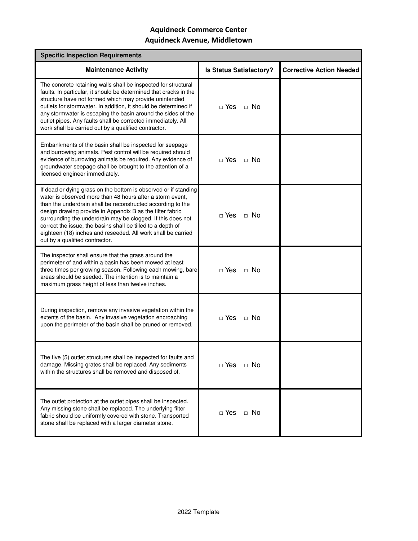| <b>Specific Inspection Requirements</b>                                                                                                                                                                                                                                                                                                                                                                                                                                                  |                                |                                 |  |
|------------------------------------------------------------------------------------------------------------------------------------------------------------------------------------------------------------------------------------------------------------------------------------------------------------------------------------------------------------------------------------------------------------------------------------------------------------------------------------------|--------------------------------|---------------------------------|--|
| <b>Maintenance Activity</b>                                                                                                                                                                                                                                                                                                                                                                                                                                                              | <b>Is Status Satisfactory?</b> | <b>Corrective Action Needed</b> |  |
| The concrete retaining walls shall be inspected for structural<br>faults. In particular, it should be determined that cracks in the<br>structure have not formed which may provide unintended<br>outlets for stormwater. In addition, it should be determined if<br>any stormwater is escaping the basin around the sides of the<br>outlet pipes. Any faults shall be corrected immediately. All<br>work shall be carried out by a qualified contractor.                                 | $\sqcap$ Yes<br>$\Box$ No      |                                 |  |
| Embankments of the basin shall be inspected for seepage<br>and burrowing animals. Pest control will be required should<br>evidence of burrowing animals be required. Any evidence of<br>groundwater seepage shall be brought to the attention of a<br>licensed engineer immediately.                                                                                                                                                                                                     | $\Box$ Yes<br>$\Box$ No        |                                 |  |
| If dead or dying grass on the bottom is observed or if standing<br>water is observed more than 48 hours after a storm event,<br>than the underdrain shall be reconstructed according to the<br>design drawing provide in Appendix B as the filter fabric<br>surrounding the underdrain may be clogged. If this does not<br>correct the issue, the basins shall be tilled to a depth of<br>eighteen (18) inches and reseeded. All work shall be carried<br>out by a qualified contractor. | $\Box$ Yes<br>$\Box$ No        |                                 |  |
| The inspector shall ensure that the grass around the<br>perimeter of and within a basin has been mowed at least<br>three times per growing season. Following each mowing, bare<br>areas should be seeded. The intention is to maintain a<br>maximum grass height of less than twelve inches.                                                                                                                                                                                             | $\sqcap$ Yes<br>$\Box$ No      |                                 |  |
| During inspection, remove any invasive vegetation within the<br>extents of the basin. Any invasive vegetation encroaching<br>upon the perimeter of the basin shall be pruned or removed.                                                                                                                                                                                                                                                                                                 | $\sqcap$ Yes<br>$\Box$ No      |                                 |  |
| The five (5) outlet structures shall be inspected for faults and<br>damage. Missing grates shall be replaced. Any sediments<br>within the structures shall be removed and disposed of.                                                                                                                                                                                                                                                                                                   | $\Box$ Yes<br>$\Box$ No        |                                 |  |
| The outlet protection at the outlet pipes shall be inspected.<br>Any missing stone shall be replaced. The underlying filter<br>fabric should be uniformly covered with stone. Transported<br>stone shall be replaced with a larger diameter stone.                                                                                                                                                                                                                                       | $\Box$ Yes<br>$\Box$ No        |                                 |  |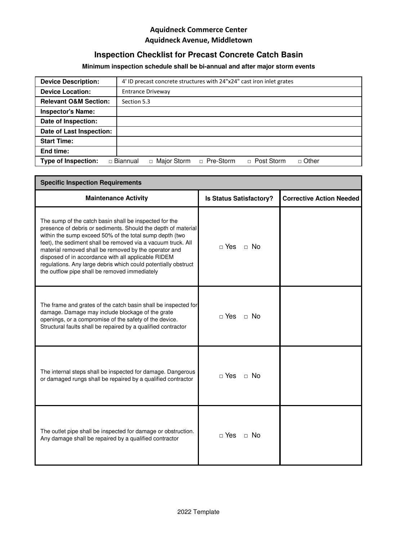# **Inspection Checklist for Precast Concrete Catch Basin**

# **Minimum inspection schedule shall be bi-annual and after major storm events**

| <b>Device Description:</b>       | 4' ID precast concrete structures with 24"x24" cast iron inlet grates         |  |  |  |
|----------------------------------|-------------------------------------------------------------------------------|--|--|--|
| <b>Device Location:</b>          | <b>Entrance Driveway</b>                                                      |  |  |  |
| <b>Relevant O&amp;M Section:</b> | Section 5.3                                                                   |  |  |  |
| <b>Inspector's Name:</b>         |                                                                               |  |  |  |
| Date of Inspection:              |                                                                               |  |  |  |
| Date of Last Inspection:         |                                                                               |  |  |  |
| <b>Start Time:</b>               |                                                                               |  |  |  |
| End time:                        |                                                                               |  |  |  |
| <b>Type of Inspection:</b>       | Major Storm<br>□ Pre-Storm<br>□ Post Storm<br>□ Other<br>□ Biannual<br>$\Box$ |  |  |  |

| <b>Specific Inspection Requirements</b>                                                                                                                                                                                                                                                                                                                                                                                                                                               |                                |                                 |  |
|---------------------------------------------------------------------------------------------------------------------------------------------------------------------------------------------------------------------------------------------------------------------------------------------------------------------------------------------------------------------------------------------------------------------------------------------------------------------------------------|--------------------------------|---------------------------------|--|
| <b>Maintenance Activity</b>                                                                                                                                                                                                                                                                                                                                                                                                                                                           | <b>Is Status Satisfactory?</b> | <b>Corrective Action Needed</b> |  |
| The sump of the catch basin shall be inspected for the<br>presence of debris or sediments. Should the depth of material<br>within the sump exceed 50% of the total sump depth (two<br>feet), the sediment shall be removed via a vacuum truck. All<br>material removed shall be removed by the operator and<br>disposed of in accordance with all applicable RIDEM<br>regulations. Any large debris which could potentially obstruct<br>the outflow pipe shall be removed immediately | $\sqcap$ Yes<br>$\Box$ No      |                                 |  |
| The frame and grates of the catch basin shall be inspected for<br>damage. Damage may include blockage of the grate<br>openings, or a compromise of the safety of the device.<br>Structural faults shall be repaired by a qualified contractor                                                                                                                                                                                                                                         | $\Box$ Yes<br>$\Box$ No        |                                 |  |
| The internal steps shall be inspected for damage. Dangerous<br>or damaged rungs shall be repaired by a qualified contractor                                                                                                                                                                                                                                                                                                                                                           | $\sqcap$ Yes<br>$\Box$ No      |                                 |  |
| The outlet pipe shall be inspected for damage or obstruction.<br>Any damage shall be repaired by a qualified contractor                                                                                                                                                                                                                                                                                                                                                               | $\Box$ Yes<br>$\Box$ No        |                                 |  |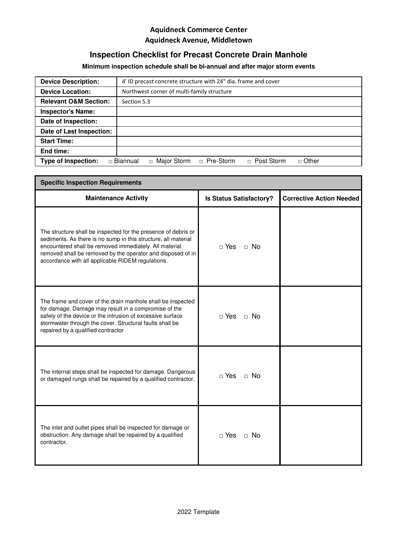# **Inspection Checklist for Precast Concrete Drain Manhole**

# **Minimum inspection schedule shall be bi-annual and after major storm events**

| <b>Device Description:</b>       | 4' ID precast concrete structure with 24" dia. frame and cover                     |  |  |
|----------------------------------|------------------------------------------------------------------------------------|--|--|
| <b>Device Location:</b>          | Northwest corner of multi-family structure                                         |  |  |
| <b>Relevant O&amp;M Section:</b> | Section 5.3                                                                        |  |  |
| <b>Inspector's Name:</b>         |                                                                                    |  |  |
| Date of Inspection:              |                                                                                    |  |  |
| Date of Last Inspection:         |                                                                                    |  |  |
| <b>Start Time:</b>               |                                                                                    |  |  |
| End time:                        |                                                                                    |  |  |
| <b>Type of Inspection:</b>       | Major Storm<br>□ Pre-Storm<br>□ Post Storm<br>$\Box$ Other<br>□ Biannual<br>$\Box$ |  |  |

| <b>Specific Inspection Requirements</b>                                                                                                                                                                                                                                                                        |                                |                                 |  |  |
|----------------------------------------------------------------------------------------------------------------------------------------------------------------------------------------------------------------------------------------------------------------------------------------------------------------|--------------------------------|---------------------------------|--|--|
| <b>Maintenance Activity</b>                                                                                                                                                                                                                                                                                    | <b>Is Status Satisfactory?</b> | <b>Corrective Action Needed</b> |  |  |
| The structure shall be inspected for the presence of debris or<br>sediments. As there is no sump in this structure, all material<br>encountered shall be removed immediately. All material<br>removed shall be removed by the operator and disposed of in<br>accordance with all applicable RIDEM regulations. | ⊓ Yes<br>$\Box$ No             |                                 |  |  |
| The frame and cover of the drain manhole shall be inspected<br>for damage. Damage may result in a compromise of the<br>safety of the device or the intrusion of excessive surface<br>stormwater through the cover. Structural faults shall be<br>repaired by a qualified contractor                            | $\sqcap$ Yes<br>$\Box$ No      |                                 |  |  |
| The internal steps shall be inspected for damage. Dangerous<br>or damaged rungs shall be repaired by a qualified contractor.                                                                                                                                                                                   | $\Box$ Yes<br>$\Box$ No        |                                 |  |  |
| The inlet and outlet pipes shall be inspected for damage or<br>obstruction. Any damage shall be repaired by a qualified<br>contractor.                                                                                                                                                                         | $\Box$ Yes<br>$\Box$ No        |                                 |  |  |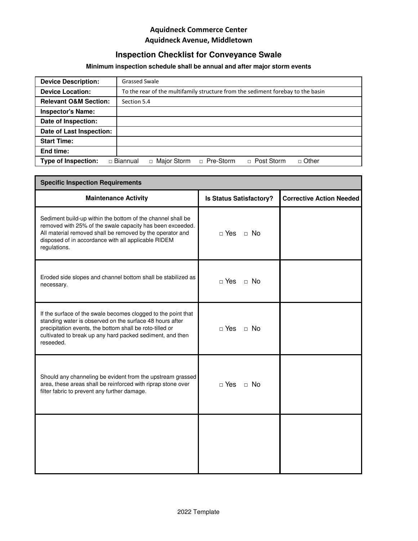# **Inspection Checklist for Conveyance Swale**

# **Minimum inspection schedule shall be annual and after major storm events**

| <b>Device Description:</b>       | <b>Grassed Swale</b>                                                            |  |  |
|----------------------------------|---------------------------------------------------------------------------------|--|--|
| <b>Device Location:</b>          | To the rear of the multifamily structure from the sediment forebay to the basin |  |  |
| <b>Relevant O&amp;M Section:</b> | Section 5.4                                                                     |  |  |
| <b>Inspector's Name:</b>         |                                                                                 |  |  |
| Date of Inspection:              |                                                                                 |  |  |
| Date of Last Inspection:         |                                                                                 |  |  |
| <b>Start Time:</b>               |                                                                                 |  |  |
| End time:                        |                                                                                 |  |  |
| Type of Inspection:              | □ Pre-Storm<br>□ Major Storm<br>$\Box$ Other<br>□ Post Storm<br>□ Biannual      |  |  |

| <b>Specific Inspection Requirements</b>                                                                                                                                                                                                                         |                                |                                 |  |  |
|-----------------------------------------------------------------------------------------------------------------------------------------------------------------------------------------------------------------------------------------------------------------|--------------------------------|---------------------------------|--|--|
| <b>Maintenance Activity</b>                                                                                                                                                                                                                                     | <b>Is Status Satisfactory?</b> | <b>Corrective Action Needed</b> |  |  |
| Sediment build-up within the bottom of the channel shall be<br>removed with 25% of the swale capacity has been exceeded.<br>All material removed shall be removed by the operator and<br>disposed of in accordance with all applicable RIDEM<br>regulations.    | $\Box$ Yes<br>$\Box$ No        |                                 |  |  |
| Eroded side slopes and channel bottom shall be stabilized as<br>necessary.                                                                                                                                                                                      | $\Box$ Yes<br>$\Box$ No        |                                 |  |  |
| If the surface of the swale becomes clogged to the point that<br>standing water is observed on the surface 48 hours after<br>precipitation events, the bottom shall be roto-tilled or<br>cultivated to break up any hard packed sediment, and then<br>reseeded. | $\Box$ Yes<br>$\Box$ No        |                                 |  |  |
| Should any channeling be evident from the upstream grassed<br>area, these areas shall be reinforced with riprap stone over<br>filter fabric to prevent any further damage.                                                                                      | $\Box$ Yes<br>$\Box$ No        |                                 |  |  |
|                                                                                                                                                                                                                                                                 |                                |                                 |  |  |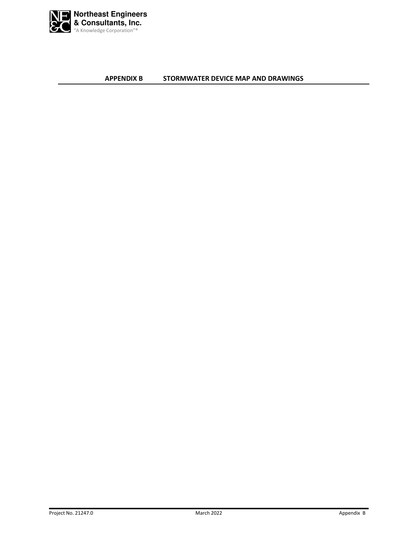

APPENDIX B STORMWATER DEVICE MAP AND DRAWINGS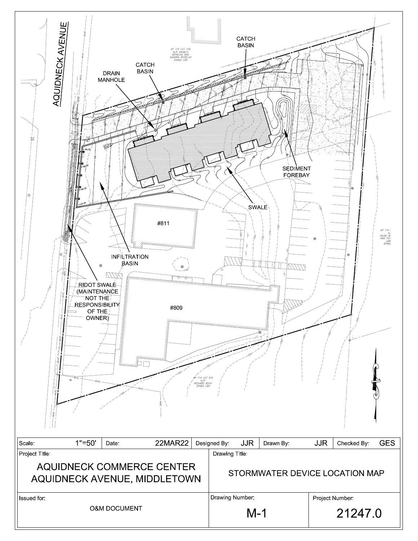